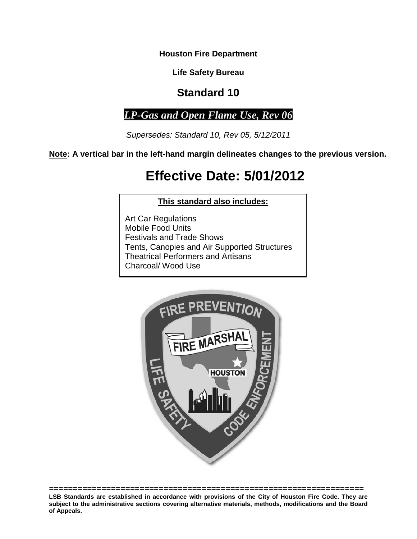**Houston Fire Department**

**Life Safety Bureau**

# **Standard 10**

*LP-Gas and Open Flame Use, Rev 06* 

*Supersedes: Standard 10, Rev 05, 5/12/2011*

**Note: A vertical bar in the left-hand margin delineates changes to the previous version.**

# **Effective Date: 5/01/2012**

# **This standard also includes:**

Art Car Regulations Mobile Food Units Festivals and Trade Shows Tents, Canopies and Air Supported Structures Theatrical Performers and Artisans Charcoal/ Wood Use



================================================================== **LSB Standards are established in accordance with provisions of the City of Houston Fire Code. They are subject to the administrative sections covering alternative materials, methods, modifications and the Board of Appeals.**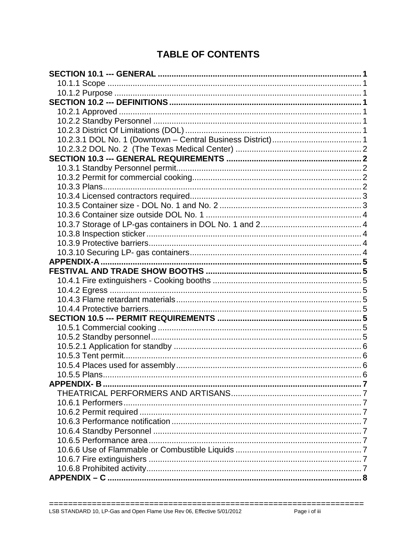# **TABLE OF CONTENTS**

| <b>APPENDIX-A</b> |  |
|-------------------|--|
|                   |  |
|                   |  |
|                   |  |
|                   |  |
|                   |  |
|                   |  |
|                   |  |
|                   |  |
|                   |  |
|                   |  |
|                   |  |
| 10.5.5 Plans      |  |
|                   |  |
|                   |  |
|                   |  |
|                   |  |
|                   |  |
|                   |  |
|                   |  |
|                   |  |
|                   |  |
|                   |  |
|                   |  |

 $=$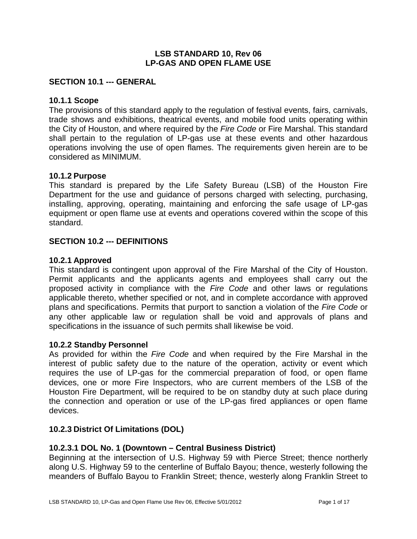#### **LSB STANDARD 10, Rev 06 LP-GAS AND OPEN FLAME USE**

#### <span id="page-4-0"></span>**SECTION 10.1 --- GENERAL**

#### <span id="page-4-1"></span>**10.1.1 Scope**

The provisions of this standard apply to the regulation of festival events, fairs, carnivals, trade shows and exhibitions, theatrical events, and mobile food units operating within the City of Houston, and where required by the *Fire Code* or Fire Marshal. This standard shall pertain to the regulation of LP-gas use at these events and other hazardous operations involving the use of open flames. The requirements given herein are to be considered as MINIMUM.

#### <span id="page-4-2"></span>**10.1.2 Purpose**

This standard is prepared by the Life Safety Bureau (LSB) of the Houston Fire Department for the use and guidance of persons charged with selecting, purchasing, installing, approving, operating, maintaining and enforcing the safe usage of LP-gas equipment or open flame use at events and operations covered within the scope of this standard.

#### <span id="page-4-3"></span>**SECTION 10.2 --- DEFINITIONS**

#### <span id="page-4-4"></span>**10.2.1 Approved**

This standard is contingent upon approval of the Fire Marshal of the City of Houston. Permit applicants and the applicants agents and employees shall carry out the proposed activity in compliance with the *Fire Code* and other laws or regulations applicable thereto, whether specified or not, and in complete accordance with approved plans and specifications. Permits that purport to sanction a violation of the *Fire Code* or any other applicable law or regulation shall be void and approvals of plans and specifications in the issuance of such permits shall likewise be void.

#### <span id="page-4-5"></span>**10.2.2 Standby Personnel**

As provided for within the *Fire Code* and when required by the Fire Marshal in the interest of public safety due to the nature of the operation, activity or event which requires the use of LP-gas for the commercial preparation of food, or open flame devices, one or more Fire Inspectors, who are current members of the LSB of the Houston Fire Department, will be required to be on standby duty at such place during the connection and operation or use of the LP-gas fired appliances or open flame devices.

#### <span id="page-4-6"></span>**10.2.3 District Of Limitations (DOL)**

#### <span id="page-4-7"></span>**10.2.3.1 DOL No. 1 (Downtown – Central Business District)**

Beginning at the intersection of U.S. Highway 59 with Pierce Street; thence northerly along U.S. Highway 59 to the centerline of Buffalo Bayou; thence, westerly following the meanders of Buffalo Bayou to Franklin Street; thence, westerly along Franklin Street to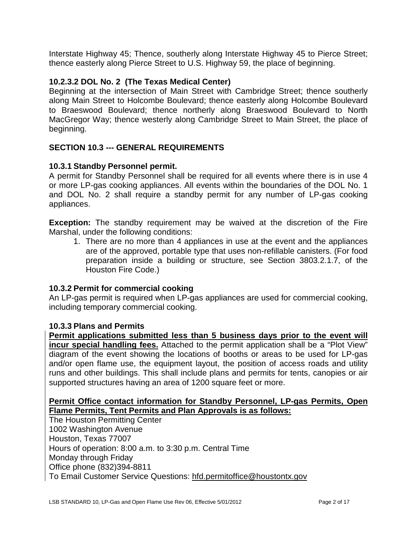Interstate Highway 45; Thence, southerly along Interstate Highway 45 to Pierce Street; thence easterly along Pierce Street to U.S. Highway 59, the place of beginning.

# <span id="page-5-0"></span>**10.2.3.2 DOL No. 2 (The Texas Medical Center)**

Beginning at the intersection of Main Street with Cambridge Street; thence southerly along Main Street to Holcombe Boulevard; thence easterly along Holcombe Boulevard to Braeswood Boulevard; thence northerly along Braeswood Boulevard to North MacGregor Way; thence westerly along Cambridge Street to Main Street, the place of beginning.

# <span id="page-5-1"></span>**SECTION 10.3 --- GENERAL REQUIREMENTS**

# <span id="page-5-2"></span>**10.3.1 Standby Personnel permit.**

A permit for Standby Personnel shall be required for all events where there is in use 4 or more LP-gas cooking appliances. All events within the boundaries of the DOL No. 1 and DOL No. 2 shall require a standby permit for any number of LP-gas cooking appliances.

**Exception:** The standby requirement may be waived at the discretion of the Fire Marshal, under the following conditions:

1. There are no more than 4 appliances in use at the event and the appliances are of the approved, portable type that uses non-refillable canisters. (For food preparation inside a building or structure, see Section 3803.2.1.7, of the Houston Fire Code.)

# <span id="page-5-3"></span>**10.3.2 Permit for commercial cooking**

An LP-gas permit is required when LP-gas appliances are used for commercial cooking, including temporary commercial cooking.

# <span id="page-5-4"></span>**10.3.3 Plans and Permits**

**Permit applications submitted less than 5 business days prior to the event will incur special handling fees.** Attached to the permit application shall be a "Plot View" diagram of the event showing the locations of booths or areas to be used for LP-gas and/or open flame use, the equipment layout, the position of access roads and utility runs and other buildings. This shall include plans and permits for tents, canopies or air supported structures having an area of 1200 square feet or more.

# **Permit Office contact information for Standby Personnel, LP-gas Permits, Open Flame Permits, Tent Permits and Plan Approvals is as follows:**

The Houston Permitting Center 1002 Washington Avenue Houston, Texas 77007 Hours of operation: 8:00 a.m. to 3:30 p.m. Central Time Monday through Friday Office phone (832)394-8811 To Email Customer Service Questions: [hfd.permitoffice@houstontx.gov](mailto:hfd.permitoffice@houstontx.gov)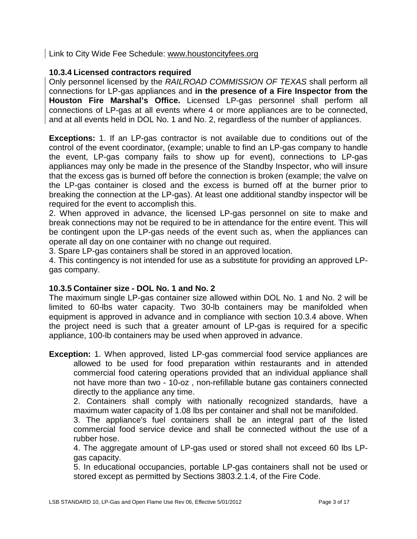# Link to City Wide Fee Schedule: [www.houstoncityfees.org](http://www.houstoncityfees.org/)

# <span id="page-6-0"></span>**10.3.4 Licensed contractors required**

Only personnel licensed by the *RAILROAD COMMISSION OF TEXAS* shall perform all connections for LP-gas appliances and **in the presence of a Fire Inspector from the Houston Fire Marshal's Office.** Licensed LP-gas personnel shall perform all connections of LP-gas at all events where 4 or more appliances are to be connected, and at all events held in DOL No. 1 and No. 2, regardless of the number of appliances.

**Exceptions:** 1. If an LP-gas contractor is not available due to conditions out of the control of the event coordinator, (example; unable to find an LP-gas company to handle the event, LP-gas company fails to show up for event), connections to LP-gas appliances may only be made in the presence of the Standby Inspector, who will insure that the excess gas is burned off before the connection is broken (example; the valve on the LP-gas container is closed and the excess is burned off at the burner prior to breaking the connection at the LP-gas). At least one additional standby inspector will be required for the event to accomplish this.

2. When approved in advance, the licensed LP-gas personnel on site to make and break connections may not be required to be in attendance for the entire event. This will be contingent upon the LP-gas needs of the event such as, when the appliances can operate all day on one container with no change out required.

3. Spare LP-gas containers shall be stored in an approved location.

4. This contingency is not intended for use as a substitute for providing an approved LPgas company.

# <span id="page-6-1"></span>**10.3.5 Container size - DOL No. 1 and No. 2**

The maximum single LP-gas container size allowed within DOL No. 1 and No. 2 will be limited to 60-lbs water capacity. Two 30-lb containers may be manifolded when equipment is approved in advance and in compliance with section 10.3.4 above. When the project need is such that a greater amount of LP-gas is required for a specific appliance, 100-lb containers may be used when approved in advance.

**Exception:** 1. When approved, listed LP-gas commercial food service appliances are allowed to be used for food preparation within restaurants and in attended commercial food catering operations provided that an individual appliance shall not have more than two - 10-oz , non-refillable butane gas containers connected directly to the appliance any time.

2. Containers shall comply with nationally recognized standards, have a maximum water capacity of 1.08 lbs per container and shall not be manifolded.

3. The appliance's fuel containers shall be an integral part of the listed commercial food service device and shall be connected without the use of a rubber hose.

4. The aggregate amount of LP-gas used or stored shall not exceed 60 lbs LPgas capacity.

5. In educational occupancies, portable LP-gas containers shall not be used or stored except as permitted by Sections 3803.2.1.4, of the Fire Code.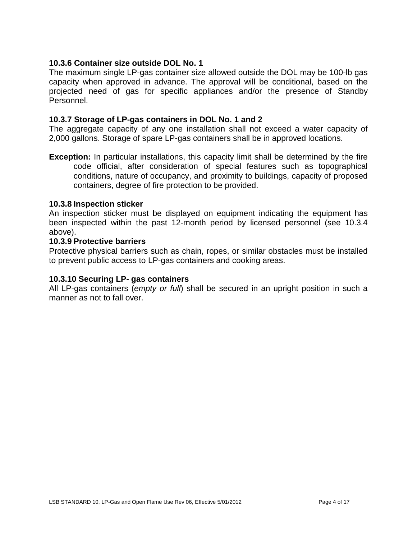# <span id="page-7-0"></span>**10.3.6 Container size outside DOL No. 1**

The maximum single LP-gas container size allowed outside the DOL may be 100-lb gas capacity when approved in advance. The approval will be conditional, based on the projected need of gas for specific appliances and/or the presence of Standby Personnel.

#### <span id="page-7-1"></span>**10.3.7 Storage of LP-gas containers in DOL No. 1 and 2**

The aggregate capacity of any one installation shall not exceed a water capacity of 2,000 gallons. Storage of spare LP-gas containers shall be in approved locations.

**Exception:** In particular installations, this capacity limit shall be determined by the fire code official, after consideration of special features such as topographical conditions, nature of occupancy, and proximity to buildings, capacity of proposed containers, degree of fire protection to be provided.

#### <span id="page-7-2"></span>**10.3.8 Inspection sticker**

An inspection sticker must be displayed on equipment indicating the equipment has been inspected within the past 12-month period by licensed personnel (see 10.3.4 above).

#### <span id="page-7-3"></span>**10.3.9 Protective barriers**

Protective physical barriers such as chain, ropes, or similar obstacles must be installed to prevent public access to LP-gas containers and cooking areas.

#### <span id="page-7-4"></span>**10.3.10 Securing LP- gas containers**

All LP-gas containers (*empty or full*) shall be secured in an upright position in such a manner as not to fall over.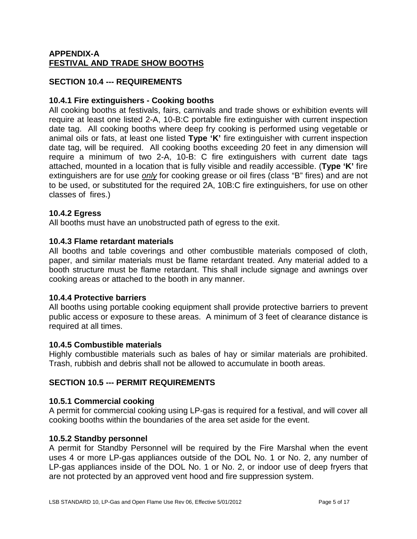# <span id="page-8-1"></span><span id="page-8-0"></span>**APPENDIX-A FESTIVAL AND TRADE SHOW BOOTHS**

# **SECTION 10.4 --- REQUIREMENTS**

# <span id="page-8-2"></span>**10.4.1 Fire extinguishers - Cooking booths**

All cooking booths at festivals, fairs, carnivals and trade shows or exhibition events will require at least one listed 2-A, 10-B:C portable fire extinguisher with current inspection date tag. All cooking booths where deep fry cooking is performed using vegetable or animal oils or fats, at least one listed **Type 'K'** fire extinguisher with current inspection date tag, will be required. All cooking booths exceeding 20 feet in any dimension will require a minimum of two 2-A, 10-B: C fire extinguishers with current date tags attached, mounted in a location that is fully visible and readily accessible. (**Type 'K'** fire extinguishers are for use *only* for cooking grease or oil fires (class "B" fires) and are not to be used, or substituted for the required 2A, 10B:C fire extinguishers, for use on other classes of fires.)

# <span id="page-8-3"></span>**10.4.2 Egress**

All booths must have an unobstructed path of egress to the exit.

#### <span id="page-8-4"></span>**10.4.3 Flame retardant materials**

All booths and table coverings and other combustible materials composed of cloth, paper, and similar materials must be flame retardant treated. Any material added to a booth structure must be flame retardant. This shall include signage and awnings over cooking areas or attached to the booth in any manner.

#### <span id="page-8-5"></span>**10.4.4 Protective barriers**

All booths using portable cooking equipment shall provide protective barriers to prevent public access or exposure to these areas. A minimum of 3 feet of clearance distance is required at all times.

#### **10.4.5 Combustible materials**

Highly combustible materials such as bales of hay or similar materials are prohibited. Trash, rubbish and debris shall not be allowed to accumulate in booth areas.

# <span id="page-8-7"></span><span id="page-8-6"></span>**SECTION 10.5 --- PERMIT REQUIREMENTS**

#### **10.5.1 Commercial cooking**

A permit for commercial cooking using LP-gas is required for a festival, and will cover all cooking booths within the boundaries of the area set aside for the event.

#### <span id="page-8-8"></span>**10.5.2 Standby personnel**

A permit for Standby Personnel will be required by the Fire Marshal when the event uses 4 or more LP-gas appliances outside of the DOL No. 1 or No. 2, any number of LP-gas appliances inside of the DOL No. 1 or No. 2, or indoor use of deep fryers that are not protected by an approved vent hood and fire suppression system.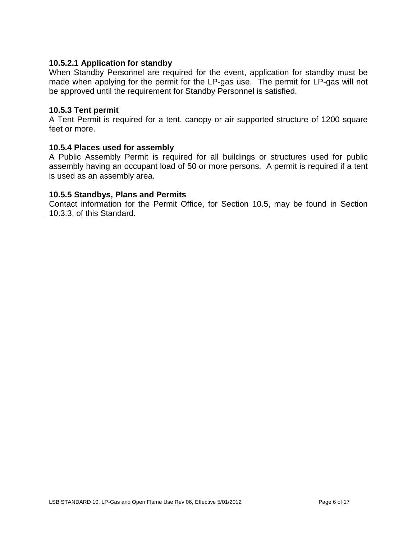#### <span id="page-9-0"></span>**10.5.2.1 Application for standby**

When Standby Personnel are required for the event, application for standby must be made when applying for the permit for the LP-gas use. The permit for LP-gas will not be approved until the requirement for Standby Personnel is satisfied.

#### <span id="page-9-1"></span>**10.5.3 Tent permit**

A Tent Permit is required for a tent, canopy or air supported structure of 1200 square feet or more.

#### <span id="page-9-2"></span>**10.5.4 Places used for assembly**

A Public Assembly Permit is required for all buildings or structures used for public assembly having an occupant load of 50 or more persons. A permit is required if a tent is used as an assembly area.

#### <span id="page-9-3"></span>**10.5.5 Standbys, Plans and Permits**

Contact information for the Permit Office, for Section 10.5, may be found in Section 10.3.3, of this Standard.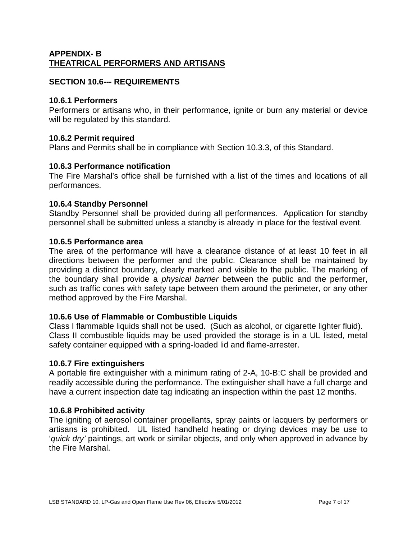# <span id="page-10-1"></span><span id="page-10-0"></span>**APPENDIX- B THEATRICAL PERFORMERS AND ARTISANS**

# **SECTION 10.6--- REQUIREMENTS**

# <span id="page-10-2"></span>**10.6.1 Performers**

Performers or artisans who, in their performance, ignite or burn any material or device will be regulated by this standard.

# <span id="page-10-3"></span>**10.6.2 Permit required**

Plans and Permits shall be in compliance with Section 10.3.3, of this Standard.

# <span id="page-10-4"></span>**10.6.3 Performance notification**

The Fire Marshal's office shall be furnished with a list of the times and locations of all performances.

# <span id="page-10-5"></span>**10.6.4 Standby Personnel**

Standby Personnel shall be provided during all performances. Application for standby personnel shall be submitted unless a standby is already in place for the festival event.

# <span id="page-10-6"></span>**10.6.5 Performance area**

The area of the performance will have a clearance distance of at least 10 feet in all directions between the performer and the public. Clearance shall be maintained by providing a distinct boundary, clearly marked and visible to the public. The marking of the boundary shall provide a *physical barrier* between the public and the performer, such as traffic cones with safety tape between them around the perimeter, or any other method approved by the Fire Marshal.

# <span id="page-10-7"></span>**10.6.6 Use of Flammable or Combustible Liquids**

Class I flammable liquids shall not be used. (Such as alcohol, or cigarette lighter fluid). Class II combustible liquids may be used provided the storage is in a UL listed, metal safety container equipped with a spring-loaded lid and flame-arrester.

# <span id="page-10-8"></span>**10.6.7 Fire extinguishers**

A portable fire extinguisher with a minimum rating of 2-A, 10-B:C shall be provided and readily accessible during the performance. The extinguisher shall have a full charge and have a current inspection date tag indicating an inspection within the past 12 months.

# <span id="page-10-9"></span>**10.6.8 Prohibited activity**

The igniting of aerosol container propellants, spray paints or lacquers by performers or artisans is prohibited. UL listed handheld heating or drying devices may be use to '*quick dry'* paintings, art work or similar objects, and only when approved in advance by the Fire Marshal.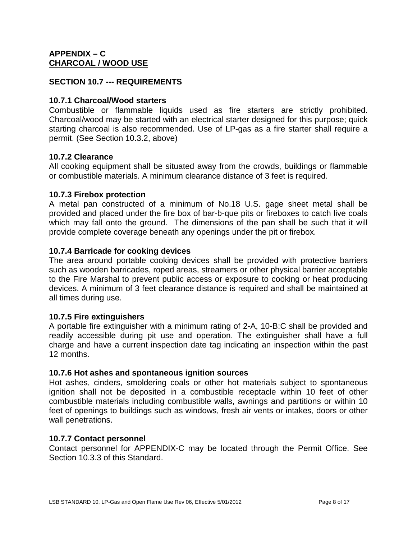# <span id="page-11-1"></span><span id="page-11-0"></span>**APPENDIX – C CHARCOAL / WOOD USE**

# **SECTION 10.7 --- REQUIREMENTS**

# <span id="page-11-2"></span>**10.7.1 Charcoal/Wood starters**

Combustible or flammable liquids used as fire starters are strictly prohibited. Charcoal/wood may be started with an electrical starter designed for this purpose; quick starting charcoal is also recommended. Use of LP-gas as a fire starter shall require a permit. (See Section 10.3.2, above)

# <span id="page-11-3"></span>**10.7.2 Clearance**

All cooking equipment shall be situated away from the crowds, buildings or flammable or combustible materials. A minimum clearance distance of 3 feet is required.

# <span id="page-11-4"></span>**10.7.3 Firebox protection**

A metal pan constructed of a minimum of No.18 U.S. gage sheet metal shall be provided and placed under the fire box of bar-b-que pits or fireboxes to catch live coals which may fall onto the ground. The dimensions of the pan shall be such that it will provide complete coverage beneath any openings under the pit or firebox.

# <span id="page-11-5"></span>**10.7.4 Barricade for cooking devices**

The area around portable cooking devices shall be provided with protective barriers such as wooden barricades, roped areas, streamers or other physical barrier acceptable to the Fire Marshal to prevent public access or exposure to cooking or heat producing devices. A minimum of 3 feet clearance distance is required and shall be maintained at all times during use.

# <span id="page-11-6"></span>**10.7.5 Fire extinguishers**

A portable fire extinguisher with a minimum rating of 2-A, 10-B:C shall be provided and readily accessible during pit use and operation. The extinguisher shall have a full charge and have a current inspection date tag indicating an inspection within the past 12 months.

# <span id="page-11-7"></span>**10.7.6 Hot ashes and spontaneous ignition sources**

Hot ashes, cinders, smoldering coals or other hot materials subject to spontaneous ignition shall not be deposited in a combustible receptacle within 10 feet of other combustible materials including combustible walls, awnings and partitions or within 10 feet of openings to buildings such as windows, fresh air vents or intakes, doors or other wall penetrations.

# <span id="page-11-8"></span>**10.7.7 Contact personnel**

Contact personnel for APPENDIX-C may be located through the Permit Office. See Section 10.3.3 of this Standard.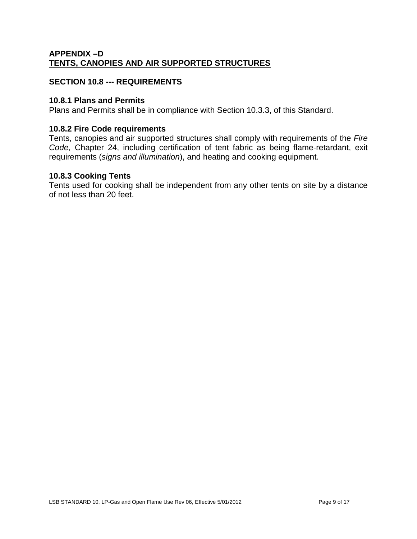# <span id="page-12-1"></span><span id="page-12-0"></span>**APPENDIX –D TENTS, CANOPIES AND AIR SUPPORTED STRUCTURES**

# **SECTION 10.8 --- REQUIREMENTS**

# <span id="page-12-2"></span>**10.8.1 Plans and Permits**

Plans and Permits shall be in compliance with Section 10.3.3, of this Standard.

#### <span id="page-12-3"></span>**10.8.2 Fire Code requirements**

Tents, canopies and air supported structures shall comply with requirements of the *Fire Code,* Chapter 24, including certification of tent fabric as being flame-retardant, exit requirements (*signs and illumination*), and heating and cooking equipment.

#### <span id="page-12-4"></span>**10.8.3 Cooking Tents**

Tents used for cooking shall be independent from any other tents on site by a distance of not less than 20 feet.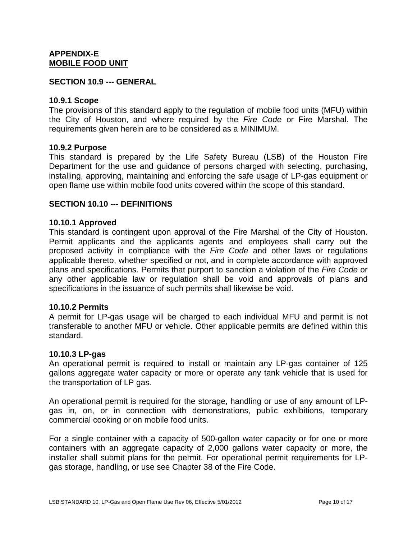#### <span id="page-13-1"></span><span id="page-13-0"></span>**APPENDIX-E MOBILE FOOD UNIT**

#### **SECTION 10.9 --- GENERAL**

#### <span id="page-13-2"></span>**10.9.1 Scope**

The provisions of this standard apply to the regulation of mobile food units (MFU) within the City of Houston, and where required by the *Fire Code* or Fire Marshal. The requirements given herein are to be considered as a MINIMUM.

#### <span id="page-13-3"></span>**10.9.2 Purpose**

This standard is prepared by the Life Safety Bureau (LSB) of the Houston Fire Department for the use and guidance of persons charged with selecting, purchasing, installing, approving, maintaining and enforcing the safe usage of LP-gas equipment or open flame use within mobile food units covered within the scope of this standard.

#### **SECTION 10.10 --- DEFINITIONS**

#### <span id="page-13-4"></span>**10.10.1 Approved**

This standard is contingent upon approval of the Fire Marshal of the City of Houston. Permit applicants and the applicants agents and employees shall carry out the proposed activity in compliance with the *Fire Code* and other laws or regulations applicable thereto, whether specified or not, and in complete accordance with approved plans and specifications. Permits that purport to sanction a violation of the *Fire Code* or any other applicable law or regulation shall be void and approvals of plans and specifications in the issuance of such permits shall likewise be void.

#### <span id="page-13-5"></span>**10.10.2 Permits**

A permit for LP-gas usage will be charged to each individual MFU and permit is not transferable to another MFU or vehicle. Other applicable permits are defined within this standard.

#### <span id="page-13-6"></span>**10.10.3 LP-gas**

An operational permit is required to install or maintain any LP-gas container of 125 gallons aggregate water capacity or more or operate any tank vehicle that is used for the transportation of LP gas.

An operational permit is required for the storage, handling or use of any amount of LPgas in, on, or in connection with demonstrations, public exhibitions, temporary commercial cooking or on mobile food units.

For a single container with a capacity of 500-gallon water capacity or for one or more containers with an aggregate capacity of 2,000 gallons water capacity or more, the installer shall submit plans for the permit. For operational permit requirements for LPgas storage, handling, or use see Chapter 38 of the Fire Code.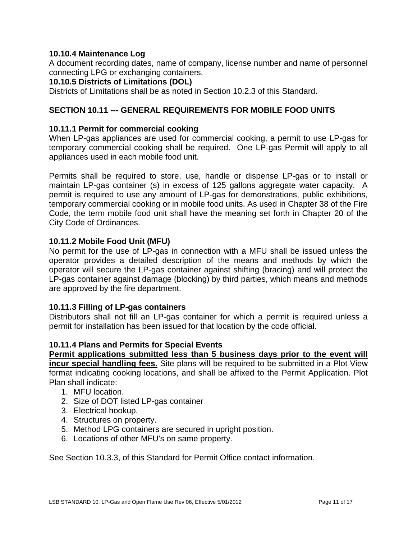# <span id="page-14-0"></span>**10.10.4 Maintenance Log**

A document recording dates, name of company, license number and name of personnel connecting LPG or exchanging containers.

# <span id="page-14-1"></span>**10.10.5 Districts of Limitations (DOL)**

Districts of Limitations shall be as noted in Section 10.2.3 of this Standard.

# **SECTION 10.11 --- GENERAL REQUIREMENTS FOR MOBILE FOOD UNITS**

# <span id="page-14-2"></span>**10.11.1 Permit for commercial cooking**

When LP-gas appliances are used for commercial cooking, a permit to use LP-gas for temporary commercial cooking shall be required. One LP-gas Permit will apply to all appliances used in each mobile food unit.

Permits shall be required to store, use, handle or dispense LP-gas or to install or maintain LP-gas container (s) in excess of 125 gallons aggregate water capacity. A permit is required to use any amount of LP-gas for demonstrations, public exhibitions, temporary commercial cooking or in mobile food units. As used in Chapter 38 of the Fire Code, the term mobile food unit shall have the meaning set forth in Chapter 20 of the City Code of Ordinances.

#### <span id="page-14-3"></span>**10.11.2 Mobile Food Unit (MFU)**

No permit for the use of LP-gas in connection with a MFU shall be issued unless the operator provides a detailed description of the means and methods by which the operator will secure the LP-gas container against shifting (bracing) and will protect the LP-gas container against damage (blocking) by third parties, which means and methods are approved by the fire department.

# <span id="page-14-4"></span>**10.11.3 Filling of LP-gas containers**

Distributors shall not fill an LP-gas container for which a permit is required unless a permit for installation has been issued for that location by the code official.

#### <span id="page-14-5"></span>**10.11.4 Plans and Permits for Special Events**

**Permit applications submitted less than 5 business days prior to the event will incur special handling fees.** Site plans will be required to be submitted in a Plot View format indicating cooking locations, and shall be affixed to the Permit Application. Plot Plan shall indicate:

- 1. MFU location.
- 2. Size of DOT listed LP-gas container
- 3. Electrical hookup.
- 4. Structures on property.
- 5. Method LPG containers are secured in upright position.
- 6. Locations of other MFU's on same property.

See Section 10.3.3, of this Standard for Permit Office contact information.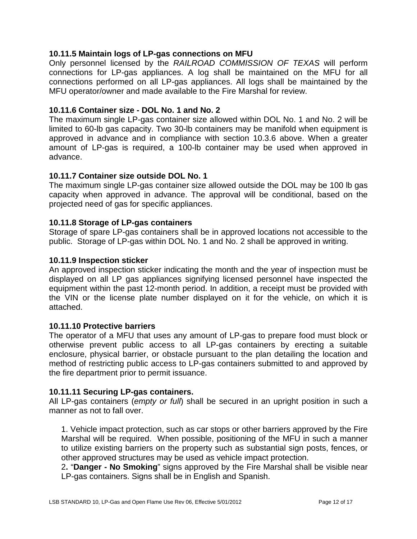# <span id="page-15-0"></span>**10.11.5 Maintain logs of LP-gas connections on MFU**

Only personnel licensed by the *RAILROAD COMMISSION OF TEXAS* will perform connections for LP-gas appliances. A log shall be maintained on the MFU for all connections performed on all LP-gas appliances. All logs shall be maintained by the MFU operator/owner and made available to the Fire Marshal for review.

#### <span id="page-15-1"></span>**10.11.6 Container size - DOL No. 1 and No. 2**

The maximum single LP-gas container size allowed within DOL No. 1 and No. 2 will be limited to 60-lb gas capacity. Two 30-lb containers may be manifold when equipment is approved in advance and in compliance with section 10.3.6 above. When a greater amount of LP-gas is required, a 100-lb container may be used when approved in advance.

#### <span id="page-15-2"></span>**10.11.7 Container size outside DOL No. 1**

The maximum single LP-gas container size allowed outside the DOL may be 100 lb gas capacity when approved in advance. The approval will be conditional, based on the projected need of gas for specific appliances.

#### <span id="page-15-3"></span>**10.11.8 Storage of LP-gas containers**

Storage of spare LP-gas containers shall be in approved locations not accessible to the public. Storage of LP-gas within DOL No. 1 and No. 2 shall be approved in writing.

#### <span id="page-15-4"></span>**10.11.9 Inspection sticker**

An approved inspection sticker indicating the month and the year of inspection must be displayed on all LP gas appliances signifying licensed personnel have inspected the equipment within the past 12-month period. In addition, a receipt must be provided with the VIN or the license plate number displayed on it for the vehicle, on which it is attached.

#### <span id="page-15-5"></span>**10.11.10 Protective barriers**

The operator of a MFU that uses any amount of LP-gas to prepare food must block or otherwise prevent public access to all LP-gas containers by erecting a suitable enclosure, physical barrier, or obstacle pursuant to the plan detailing the location and method of restricting public access to LP-gas containers submitted to and approved by the fire department prior to permit issuance.

#### <span id="page-15-6"></span>**10.11.11 Securing LP-gas containers.**

All LP-gas containers (*empty or full*) shall be secured in an upright position in such a manner as not to fall over.

1. Vehicle impact protection, such as car stops or other barriers approved by the Fire Marshal will be required. When possible, positioning of the MFU in such a manner to utilize existing barriers on the property such as substantial sign posts, fences, or other approved structures may be used as vehicle impact protection.

2**.** "**Danger - No Smoking**" signs approved by the Fire Marshal shall be visible near LP-gas containers. Signs shall be in English and Spanish.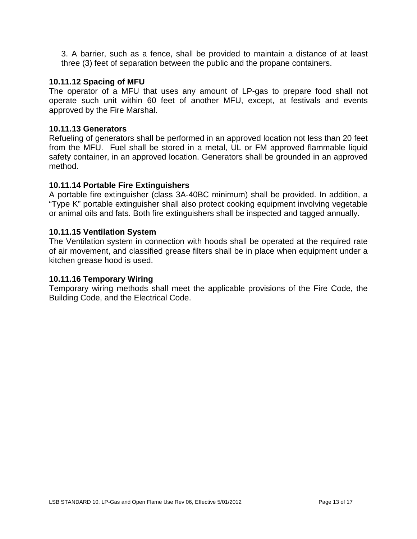3. A barrier, such as a fence, shall be provided to maintain a distance of at least three (3) feet of separation between the public and the propane containers.

# <span id="page-16-0"></span>**10.11.12 Spacing of MFU**

The operator of a MFU that uses any amount of LP-gas to prepare food shall not operate such unit within 60 feet of another MFU, except, at festivals and events approved by the Fire Marshal.

#### <span id="page-16-1"></span>**10.11.13 Generators**

Refueling of generators shall be performed in an approved location not less than 20 feet from the MFU. Fuel shall be stored in a metal, UL or FM approved flammable liquid safety container, in an approved location. Generators shall be grounded in an approved method.

#### <span id="page-16-2"></span>**10.11.14 Portable Fire Extinguishers**

A portable fire extinguisher (class 3A-40BC minimum) shall be provided. In addition, a "Type K" portable extinguisher shall also protect cooking equipment involving vegetable or animal oils and fats. Both fire extinguishers shall be inspected and tagged annually.

#### <span id="page-16-3"></span>**10.11.15 Ventilation System**

The Ventilation system in connection with hoods shall be operated at the required rate of air movement, and classified grease filters shall be in place when equipment under a kitchen grease hood is used.

#### **10.11.16 Temporary Wiring**

Temporary wiring methods shall meet the applicable provisions of the Fire Code, the Building Code, and the Electrical Code.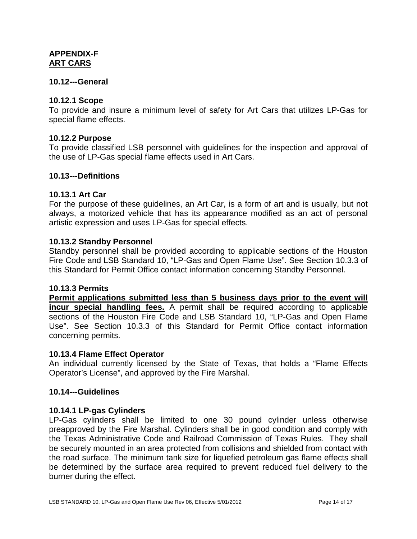# <span id="page-17-1"></span><span id="page-17-0"></span>**APPENDIX-F ART CARS**

#### **10.12---General**

#### <span id="page-17-2"></span>**10.12.1 Scope**

To provide and insure a minimum level of safety for Art Cars that utilizes LP-Gas for special flame effects.

#### <span id="page-17-3"></span>**10.12.2 Purpose**

To provide classified LSB personnel with guidelines for the inspection and approval of the use of LP-Gas special flame effects used in Art Cars.

#### **10.13---Definitions**

#### <span id="page-17-4"></span>**10.13.1 Art Car**

For the purpose of these guidelines, an Art Car, is a form of art and is usually, but not always, a motorized [vehicle](http://en.wikipedia.org/wiki/Vehicle) that has its appearance modified as an act of personal artistic expression and uses LP-Gas for special effects.

#### <span id="page-17-5"></span>**10.13.2 Standby Personnel**

Standby personnel shall be provided according to applicable sections of the Houston Fire Code and LSB Standard 10, "LP-Gas and Open Flame Use". See Section 10.3.3 of this Standard for Permit Office contact information concerning Standby Personnel.

#### <span id="page-17-6"></span>**10.13.3 Permits**

**Permit applications submitted less than 5 business days prior to the event will incur special handling fees.** A permit shall be required according to applicable sections of the Houston Fire Code and LSB Standard 10, "LP-Gas and Open Flame Use". See Section 10.3.3 of this Standard for Permit Office contact information concerning permits.

#### <span id="page-17-7"></span>**10.13.4 Flame Effect Operator**

An individual currently licensed by the State of Texas, that holds a "Flame Effects Operator's License", and approved by the Fire Marshal.

#### **10.14---Guidelines**

#### <span id="page-17-8"></span>**10.14.1 LP-gas Cylinders**

LP-Gas cylinders shall be limited to one 30 pound cylinder unless otherwise preapproved by the Fire Marshal. Cylinders shall be in good condition and comply with the Texas Administrative Code and Railroad Commission of Texas Rules. They shall be securely mounted in an area protected from collisions and shielded from contact with the road surface. The minimum tank size for liquefied petroleum gas flame effects shall be determined by the surface area required to prevent reduced fuel delivery to the burner during the effect.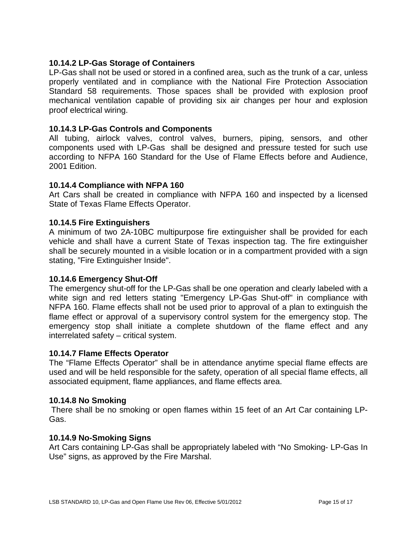# <span id="page-18-0"></span>**10.14.2 LP-Gas Storage of Containers**

LP-Gas shall not be used or stored in a confined area, such as the trunk of a car, unless properly ventilated and in compliance with the National Fire Protection Association Standard 58 requirements. Those spaces shall be provided with explosion proof mechanical ventilation capable of providing six air changes per hour and explosion proof electrical wiring.

#### <span id="page-18-1"></span>**10.14.3 LP-Gas Controls and Components**

All tubing, airlock valves, control valves, burners, piping, sensors, and other components used with LP-Gas shall be designed and pressure tested for such use according to NFPA 160 Standard for the Use of Flame Effects before and Audience, 2001 Edition.

#### <span id="page-18-2"></span>**10.14.4 Compliance with NFPA 160**

Art Cars shall be created in compliance with NFPA 160 and inspected by a licensed State of Texas Flame Effects Operator.

#### <span id="page-18-3"></span>**10.14.5 Fire Extinguishers**

A minimum of two 2A-10BC multipurpose fire extinguisher shall be provided for each vehicle and shall have a current State of Texas inspection tag. The fire extinguisher shall be securely mounted in a visible location or in a compartment provided with a sign stating, "Fire Extinguisher Inside".

#### <span id="page-18-4"></span>**10.14.6 Emergency Shut-Off**

The emergency shut-off for the LP-Gas shall be one operation and clearly labeled with a white sign and red letters stating "Emergency LP-Gas Shut-off" in compliance with NFPA 160. Flame effects shall not be used prior to approval of a plan to extinguish the flame effect or approval of a supervisory control system for the emergency stop. The emergency stop shall initiate a complete shutdown of the flame effect and any interrelated safety – critical system.

#### <span id="page-18-5"></span>**10.14.7 Flame Effects Operator**

The "Flame Effects Operator" shall be in attendance anytime special flame effects are used and will be held responsible for the safety, operation of all special flame effects, all associated equipment, flame appliances, and flame effects area.

#### <span id="page-18-6"></span>**10.14.8 No Smoking**

There shall be no smoking or open flames within 15 feet of an Art Car containing LP-Gas.

#### <span id="page-18-7"></span>**10.14.9 No-Smoking Signs**

Art Cars containing LP-Gas shall be appropriately labeled with "No Smoking- LP-Gas In Use" signs, as approved by the Fire Marshal.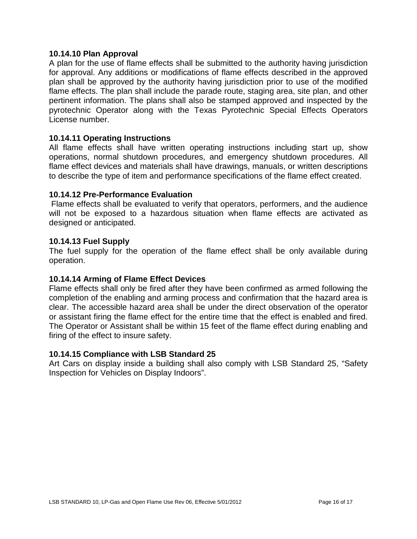#### <span id="page-19-0"></span>**10.14.10 Plan Approval**

A plan for the use of flame effects shall be submitted to the authority having jurisdiction for approval. Any additions or modifications of flame effects described in the approved plan shall be approved by the authority having jurisdiction prior to use of the modified flame effects. The plan shall include the parade route, staging area, site plan, and other pertinent information. The plans shall also be stamped approved and inspected by the pyrotechnic Operator along with the Texas Pyrotechnic Special Effects Operators License number.

#### <span id="page-19-1"></span>**10.14.11 Operating Instructions**

All flame effects shall have written operating instructions including start up, show operations, normal shutdown procedures, and emergency shutdown procedures. All flame effect devices and materials shall have drawings, manuals, or written descriptions to describe the type of item and performance specifications of the flame effect created.

#### <span id="page-19-2"></span>**10.14.12 Pre-Performance Evaluation**

Flame effects shall be evaluated to verify that operators, performers, and the audience will not be exposed to a hazardous situation when flame effects are activated as designed or anticipated.

#### <span id="page-19-3"></span>**10.14.13 Fuel Supply**

The fuel supply for the operation of the flame effect shall be only available during operation.

# <span id="page-19-4"></span>**10.14.14 Arming of Flame Effect Devices**

Flame effects shall only be fired after they have been confirmed as armed following the completion of the enabling and arming process and confirmation that the hazard area is clear. The accessible hazard area shall be under the direct observation of the operator or assistant firing the flame effect for the entire time that the effect is enabled and fired. The Operator or Assistant shall be within 15 feet of the flame effect during enabling and firing of the effect to insure safety.

#### <span id="page-19-5"></span>**10.14.15 Compliance with LSB Standard 25**

Art Cars on display inside a building shall also comply with LSB Standard 25, "Safety Inspection for Vehicles on Display Indoors".